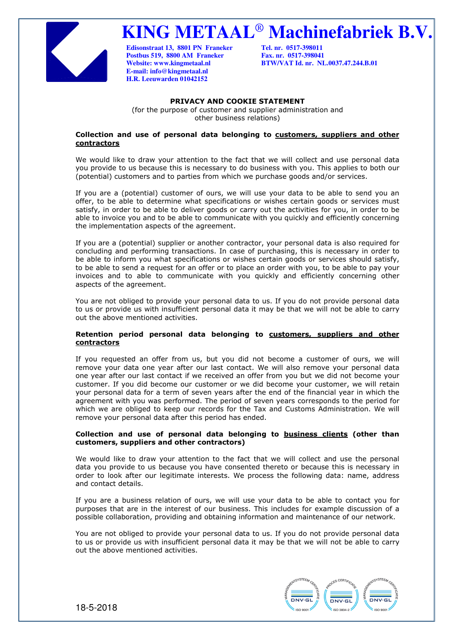

**KING METAAL**® **Machinefabriek B.V.**

**Edisonstraat 13, 8801 PN Franeker Tel. nr. 0517-398011 Postbus 519, 8800 AM Franeker E-mail: info@kingmetaal.nl H.R. Leeuwarden 01042152** 

**Website: www.kingmetaal.nl BTW/VAT Id. nr. NL.0037.47.244.B.01** 

# **PRIVACY AND COOKIE STATEMENT**

(for the purpose of customer and supplier administration and other business relations)

### **Collection and use of personal data belonging to customers, suppliers and other contractors**

We would like to draw your attention to the fact that we will collect and use personal data you provide to us because this is necessary to do business with you. This applies to both our (potential) customers and to parties from which we purchase goods and/or services.

If you are a (potential) customer of ours, we will use your data to be able to send you an offer, to be able to determine what specifications or wishes certain goods or services must satisfy, in order to be able to deliver goods or carry out the activities for you, in order to be able to invoice you and to be able to communicate with you quickly and efficiently concerning the implementation aspects of the agreement.

If you are a (potential) supplier or another contractor, your personal data is also required for concluding and performing transactions. In case of purchasing, this is necessary in order to be able to inform you what specifications or wishes certain goods or services should satisfy, to be able to send a request for an offer or to place an order with you, to be able to pay your invoices and to able to communicate with you quickly and efficiently concerning other aspects of the agreement.

You are not obliged to provide your personal data to us. If you do not provide personal data to us or provide us with insufficient personal data it may be that we will not be able to carry out the above mentioned activities.

# **Retention period personal data belonging to customers, suppliers and other contractors**

If you requested an offer from us, but you did not become a customer of ours, we will remove your data one year after our last contact. We will also remove your personal data one year after our last contact if we received an offer from you but we did not become your customer. If you did become our customer or we did become your customer, we will retain your personal data for a term of seven years after the end of the financial year in which the agreement with you was performed. The period of seven years corresponds to the period for which we are obliged to keep our records for the Tax and Customs Administration. We will remove your personal data after this period has ended.

# **Collection and use of personal data belonging to business clients (other than customers, suppliers and other contractors)**

We would like to draw your attention to the fact that we will collect and use the personal data you provide to us because you have consented thereto or because this is necessary in order to look after our legitimate interests. We process the following data: name, address and contact details.

If you are a business relation of ours, we will use your data to be able to contact you for purposes that are in the interest of our business. This includes for example discussion of a possible collaboration, providing and obtaining information and maintenance of our network.

You are not obliged to provide your personal data to us. If you do not provide personal data to us or provide us with insufficient personal data it may be that we will not be able to carry out the above mentioned activities.



18-5-2018